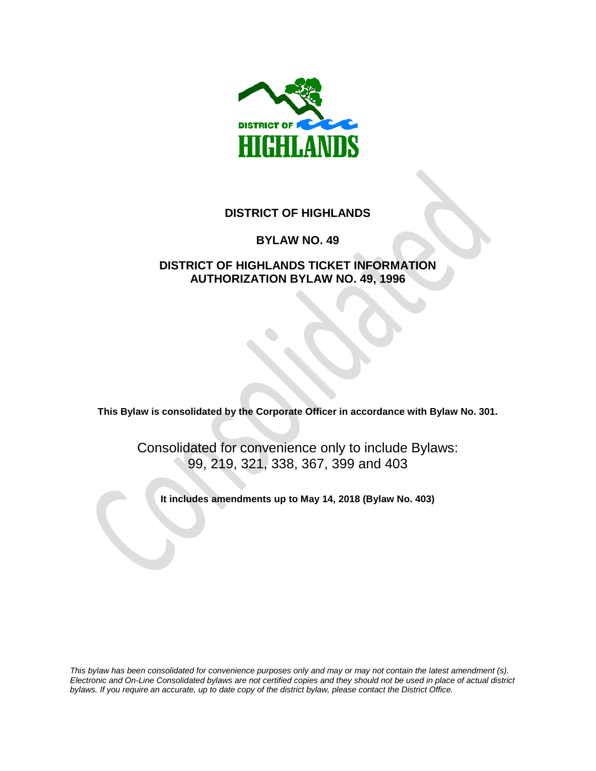

# **DISTRICT OF HIGHLANDS**

# **BYLAW NO. 49**

# **DISTRICT OF HIGHLANDS TICKET INFORMATION AUTHORIZATION BYLAW NO. 49, 1996**

**This Bylaw is consolidated by the Corporate Officer in accordance with Bylaw No. 301.** 

Consolidated for convenience only to include Bylaws: 99, 219, 321, 338, 367, 399 and 403

**It includes amendments up to May 14, 2018 (Bylaw No. 403)**

*This bylaw has been consolidated for convenience purposes only and may or may not contain the latest amendment (s). Electronic and On-Line Consolidated bylaws are not certified copies and they should not be used in place of actual district bylaws. If you require an accurate, up to date copy of the district bylaw, please contact the District Office.*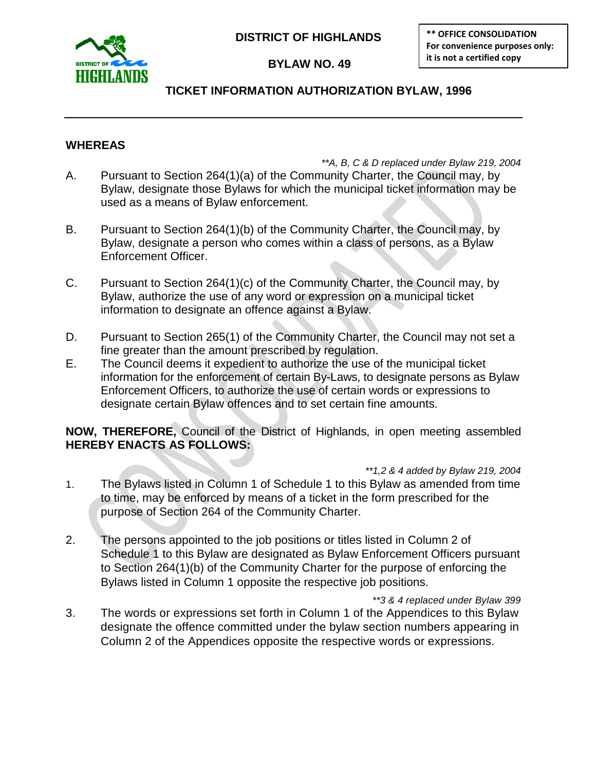

**DISTRICT OF HIGHLANDS**

 **BYLAW NO. 49**

**\*\* OFFICE CONSOLIDATION For convenience purposes only: it is not a certified copy** 

# **TICKET INFORMATION AUTHORIZATION BYLAW, 1996**

# **WHEREAS**

*\*\*A, B, C & D replaced under Bylaw 219, 2004* A. Pursuant to Section 264(1)(a) of the Community Charter, the Council may, by Bylaw, designate those Bylaws for which the municipal ticket information may be used as a means of Bylaw enforcement.

- B. Pursuant to Section 264(1)(b) of the Community Charter, the Council may, by Bylaw, designate a person who comes within a class of persons, as a Bylaw Enforcement Officer.
- C. Pursuant to Section 264(1)(c) of the Community Charter, the Council may, by Bylaw, authorize the use of any word or expression on a municipal ticket information to designate an offence against a Bylaw.
- D. Pursuant to Section 265(1) of the Community Charter, the Council may not set a fine greater than the amount prescribed by regulation.
- E. The Council deems it expedient to authorize the use of the municipal ticket information for the enforcement of certain By-Laws, to designate persons as Bylaw Enforcement Officers, to authorize the use of certain words or expressions to designate certain Bylaw offences and to set certain fine amounts.

**NOW, THEREFORE,** Council of the District of Highlands, in open meeting assembled **HEREBY ENACTS AS FOLLOWS:**

- *\*\*1,2 & 4 added by Bylaw 219, 2004* 1. The Bylaws listed in Column 1 of Schedule 1 to this Bylaw as amended from time to time, may be enforced by means of a ticket in the form prescribed for the purpose of Section 264 of the Community Charter.
- 2. The persons appointed to the job positions or titles listed in Column 2 of Schedule 1 to this Bylaw are designated as Bylaw Enforcement Officers pursuant to Section 264(1)(b) of the Community Charter for the purpose of enforcing the Bylaws listed in Column 1 opposite the respective job positions.
- *\*\*3 & 4 replaced under Bylaw 399* 3. The words or expressions set forth in Column 1 of the Appendices to this Bylaw designate the offence committed under the bylaw section numbers appearing in Column 2 of the Appendices opposite the respective words or expressions.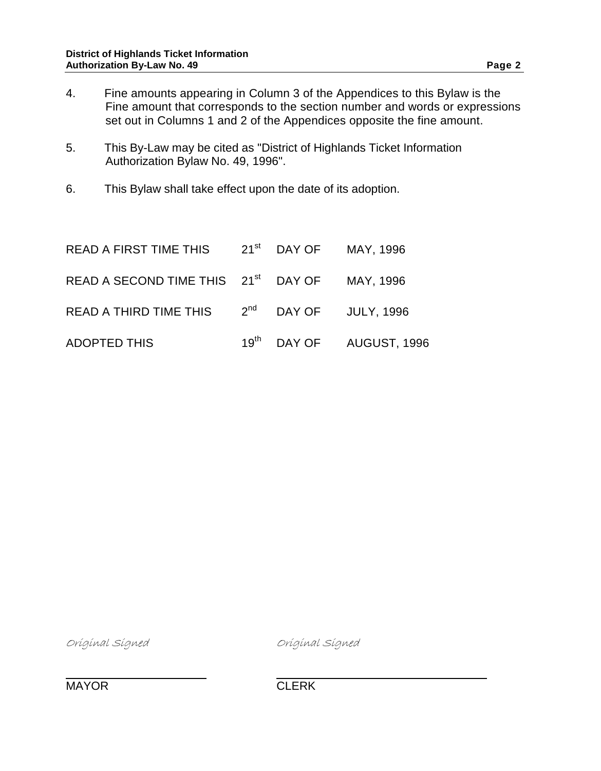- 5. This By-Law may be cited as "District of Highlands Ticket Information Authorization Bylaw No. 49, 1996".
- 6. This Bylaw shall take effect upon the date of its adoption.

| READ A FIRST TIME THIS 21 <sup>st</sup> DAY OF MAY, 1996  |  |                                      |
|-----------------------------------------------------------|--|--------------------------------------|
| READ A SECOND TIME THIS 21 <sup>st</sup> DAY OF MAY, 1996 |  |                                      |
| READ A THIRD TIME THIS 2 <sup>nd</sup> DAY OF JULY, 1996  |  |                                      |
| ADOPTED THIS                                              |  | 19 <sup>th</sup> DAY OF AUGUST, 1996 |

Original Signed Original Signed

MAYOR CLERK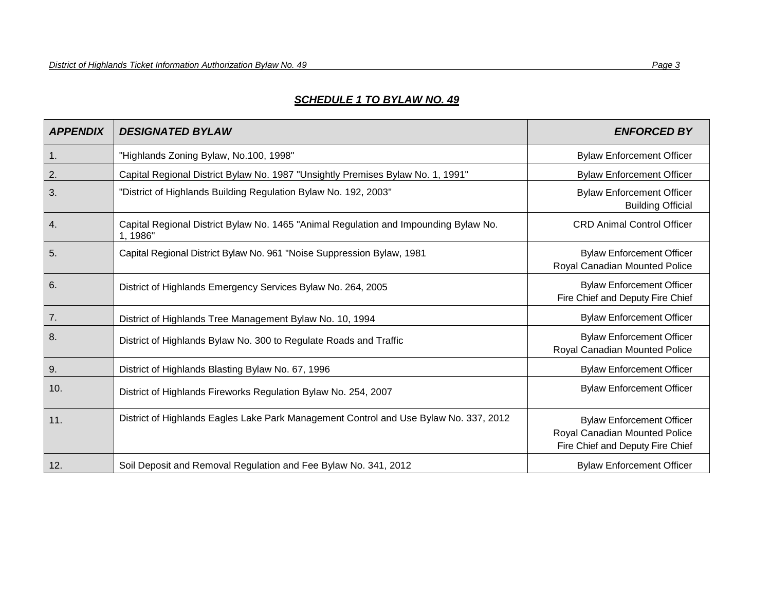# *SCHEDULE 1 TO BYLAW NO. 49*

| <b>APPENDIX</b> | <b>DESIGNATED BYLAW</b>                                                                          | <b>ENFORCED BY</b>                                                                                    |
|-----------------|--------------------------------------------------------------------------------------------------|-------------------------------------------------------------------------------------------------------|
| 1.              | "Highlands Zoning Bylaw, No.100, 1998"                                                           | <b>Bylaw Enforcement Officer</b>                                                                      |
| 2.              | Capital Regional District Bylaw No. 1987 "Unsightly Premises Bylaw No. 1, 1991"                  | <b>Bylaw Enforcement Officer</b>                                                                      |
| 3.              | "District of Highlands Building Regulation Bylaw No. 192, 2003"                                  | <b>Bylaw Enforcement Officer</b><br><b>Building Official</b>                                          |
| 4.              | Capital Regional District Bylaw No. 1465 "Animal Regulation and Impounding Bylaw No.<br>1, 1986" | <b>CRD Animal Control Officer</b>                                                                     |
| 5.              | Capital Regional District Bylaw No. 961 "Noise Suppression Bylaw, 1981                           | <b>Bylaw Enforcement Officer</b><br>Royal Canadian Mounted Police                                     |
| 6.              | District of Highlands Emergency Services Bylaw No. 264, 2005                                     | <b>Bylaw Enforcement Officer</b><br>Fire Chief and Deputy Fire Chief                                  |
| 7.              | District of Highlands Tree Management Bylaw No. 10, 1994                                         | <b>Bylaw Enforcement Officer</b>                                                                      |
| 8.              | District of Highlands Bylaw No. 300 to Regulate Roads and Traffic                                | <b>Bylaw Enforcement Officer</b><br>Royal Canadian Mounted Police                                     |
| 9.              | District of Highlands Blasting Bylaw No. 67, 1996                                                | <b>Bylaw Enforcement Officer</b>                                                                      |
| 10.             | District of Highlands Fireworks Regulation Bylaw No. 254, 2007                                   | <b>Bylaw Enforcement Officer</b>                                                                      |
| 11.             | District of Highlands Eagles Lake Park Management Control and Use Bylaw No. 337, 2012            | <b>Bylaw Enforcement Officer</b><br>Royal Canadian Mounted Police<br>Fire Chief and Deputy Fire Chief |
| 12.             | Soil Deposit and Removal Regulation and Fee Bylaw No. 341, 2012                                  | <b>Bylaw Enforcement Officer</b>                                                                      |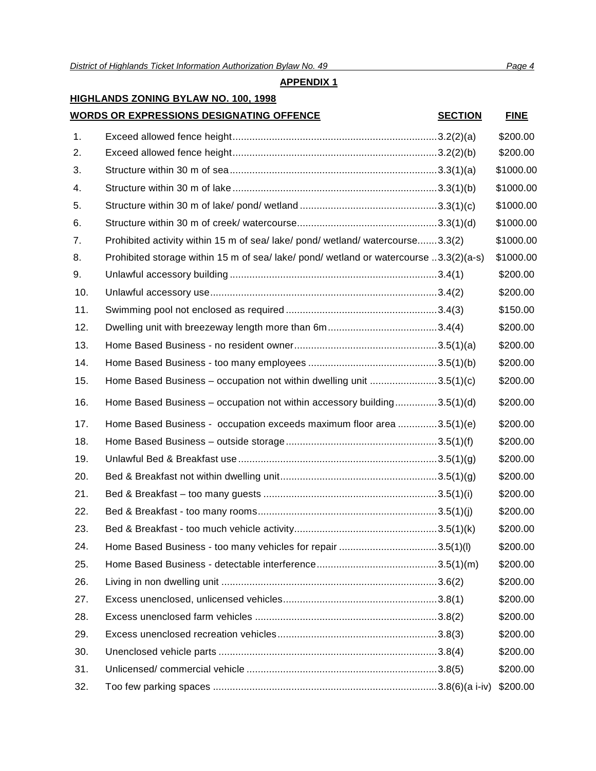# **HIGHLANDS ZONING BYLAW NO. 100, 1998**

# **WORDS OR EXPRESSIONS DESIGNATING OFFENCE SECTION FINE**

| 1.  |                                                                                       | \$200.00  |
|-----|---------------------------------------------------------------------------------------|-----------|
| 2.  |                                                                                       | \$200.00  |
| 3.  |                                                                                       | \$1000.00 |
| 4.  |                                                                                       | \$1000.00 |
| 5.  |                                                                                       | \$1000.00 |
| 6.  |                                                                                       | \$1000.00 |
| 7.  | Prohibited activity within 15 m of sea/lake/pond/wetland/watercourse3.3(2)            | \$1000.00 |
| 8.  | Prohibited storage within 15 m of sea/ lake/ pond/ wetland or watercourse 3.3(2)(a-s) | \$1000.00 |
| 9.  |                                                                                       | \$200.00  |
| 10. |                                                                                       | \$200.00  |
| 11. |                                                                                       | \$150.00  |
| 12. |                                                                                       | \$200.00  |
| 13. |                                                                                       | \$200.00  |
| 14. |                                                                                       | \$200.00  |
| 15. | Home Based Business - occupation not within dwelling unit 3.5(1)(c)                   | \$200.00  |
| 16. | Home Based Business - occupation not within accessory building3.5(1)(d)               | \$200.00  |
| 17. | Home Based Business - occupation exceeds maximum floor area 3.5(1)(e)                 | \$200.00  |
| 18. |                                                                                       | \$200.00  |
| 19. |                                                                                       | \$200.00  |
| 20. |                                                                                       | \$200.00  |
| 21. |                                                                                       | \$200.00  |
| 22. |                                                                                       | \$200.00  |
| 23. |                                                                                       | \$200.00  |
| 24. | Home Based Business - too many vehicles for repair 3.5(1)(l)                          | \$200.00  |
| 25. |                                                                                       | \$200.00  |
| 26. |                                                                                       | \$200.00  |
| 27. |                                                                                       | \$200.00  |
| 28. |                                                                                       | \$200.00  |
| 29. |                                                                                       | \$200.00  |
| 30. |                                                                                       | \$200.00  |
| 31. |                                                                                       | \$200.00  |
| 32. |                                                                                       | \$200.00  |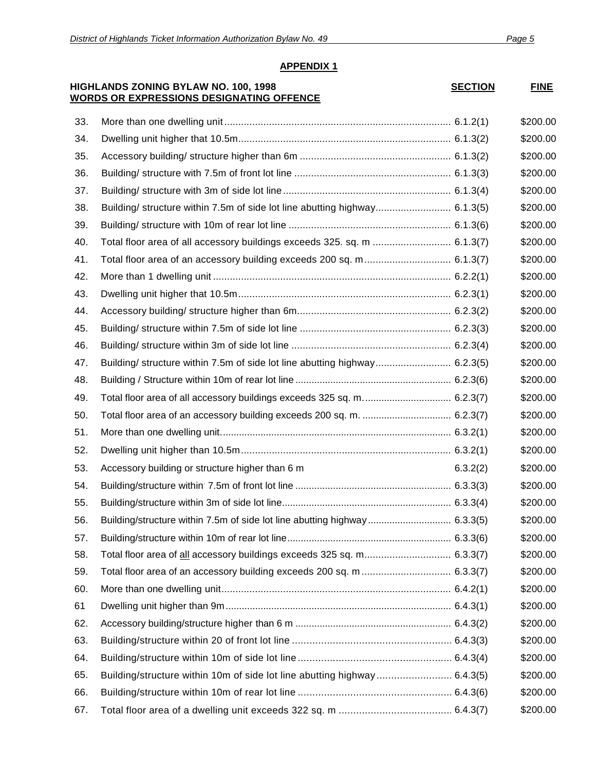**FINE** 

# **APPENDIX 1**

### **HIGHLANDS ZONING BYLAW NO. 100, 1998 WORDS OR EXPRESSIONS DESIGNATING OFFENCE**

| <b>SECTION</b> |
|----------------|
|----------------|

| 33. |                                                                            |          | \$200.00 |
|-----|----------------------------------------------------------------------------|----------|----------|
| 34. |                                                                            |          | \$200.00 |
| 35. |                                                                            |          | \$200.00 |
| 36. |                                                                            |          | \$200.00 |
| 37. |                                                                            |          | \$200.00 |
| 38. | Building/ structure within 7.5m of side lot line abutting highway 6.1.3(5) |          | \$200.00 |
| 39. |                                                                            |          | \$200.00 |
| 40. | Total floor area of all accessory buildings exceeds 325. sq. m  6.1.3(7)   |          | \$200.00 |
| 41. |                                                                            |          | \$200.00 |
| 42. |                                                                            |          | \$200.00 |
| 43. |                                                                            |          | \$200.00 |
| 44. |                                                                            |          | \$200.00 |
| 45. |                                                                            |          | \$200.00 |
| 46. |                                                                            |          | \$200.00 |
| 47. | Building/ structure within 7.5m of side lot line abutting highway 6.2.3(5) |          | \$200.00 |
| 48. |                                                                            |          | \$200.00 |
| 49. |                                                                            |          | \$200.00 |
| 50. |                                                                            |          | \$200.00 |
| 51. |                                                                            |          | \$200.00 |
| 52. |                                                                            |          | \$200.00 |
| 53. | Accessory building or structure higher than 6 m                            | 6.3.2(2) | \$200.00 |
| 54. |                                                                            |          | \$200.00 |
| 55. |                                                                            |          | \$200.00 |
| 56. | Building/structure within 7.5m of side lot line abutting highway 6.3.3(5)  |          | \$200.00 |
| 57. |                                                                            |          | \$200.00 |
| 58. |                                                                            |          | \$200.00 |
| 59. |                                                                            |          | \$200.00 |
| 60. |                                                                            |          | \$200.00 |
| 61  |                                                                            |          | \$200.00 |
| 62. |                                                                            |          | \$200.00 |
| 63. |                                                                            |          | \$200.00 |
| 64. |                                                                            |          | \$200.00 |
| 65. |                                                                            |          | \$200.00 |
| 66. |                                                                            |          | \$200.00 |
| 67. |                                                                            |          | \$200.00 |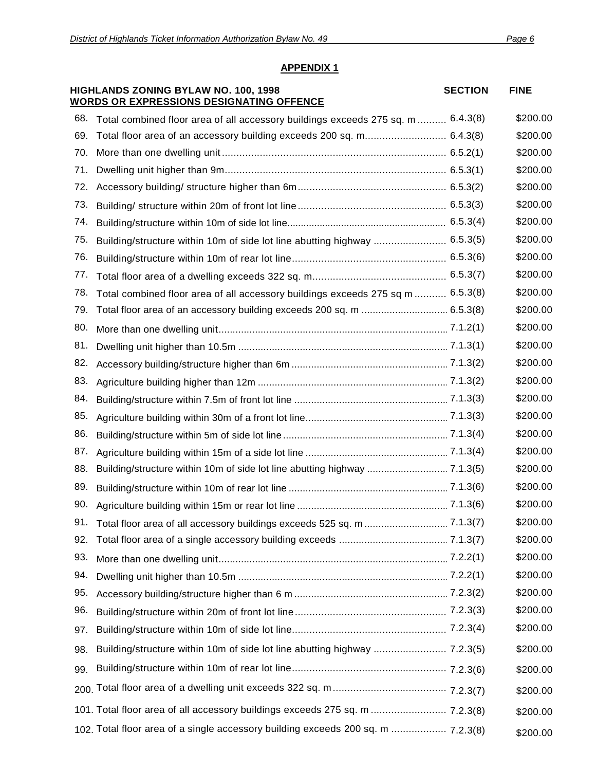|     | HIGHLANDS ZONING BYLAW NO. 100, 1998<br><b>WORDS OR EXPRESSIONS DESIGNATING OFFENCE</b> | <b>SECTION</b> | <b>FINE</b> |
|-----|-----------------------------------------------------------------------------------------|----------------|-------------|
| 68. | Total combined floor area of all accessory buildings exceeds 275 sq. m  6.4.3(8)        |                | \$200.00    |
| 69. | Total floor area of an accessory building exceeds 200 sq. m 6.4.3(8)                    |                | \$200.00    |
| 70. |                                                                                         |                | \$200.00    |
| 71. |                                                                                         |                | \$200.00    |
| 72. |                                                                                         |                | \$200.00    |
| 73. |                                                                                         |                | \$200.00    |
| 74. |                                                                                         |                | \$200.00    |
| 75. | Building/structure within 10m of side lot line abutting highway  6.5.3(5)               |                | \$200.00    |
| 76. |                                                                                         |                | \$200.00    |
| 77. |                                                                                         |                | \$200.00    |
| 78. | Total combined floor area of all accessory buildings exceeds 275 sq m  6.5.3(8)         |                | \$200.00    |
| 79. |                                                                                         |                | \$200.00    |
| 80. |                                                                                         |                | \$200.00    |
| 81. |                                                                                         |                | \$200.00    |
| 82. |                                                                                         |                | \$200.00    |
| 83. |                                                                                         |                | \$200.00    |
| 84. |                                                                                         |                | \$200.00    |
| 85. |                                                                                         |                | \$200.00    |
| 86. |                                                                                         |                | \$200.00    |
| 87. |                                                                                         |                | \$200.00    |
| 88. |                                                                                         |                | \$200.00    |
| 89. |                                                                                         |                | \$200.00    |
| 90. |                                                                                         |                | \$200.00    |
| 91. |                                                                                         |                | \$200.00    |
| 92. |                                                                                         |                | \$200.00    |
| 93. |                                                                                         |                | \$200.00    |
| 94. |                                                                                         |                | \$200.00    |
| 95. |                                                                                         |                | \$200.00    |
| 96. |                                                                                         |                | \$200.00    |
| 97. |                                                                                         |                | \$200.00    |
| 98. |                                                                                         |                | \$200.00    |
| 99. |                                                                                         |                | \$200.00    |
|     |                                                                                         |                | \$200.00    |
|     | 101. Total floor area of all accessory buildings exceeds 275 sq. m  7.2.3(8)            |                | \$200.00    |
|     | 102. Total floor area of a single accessory building exceeds 200 sq. m  7.2.3(8)        |                | \$200.00    |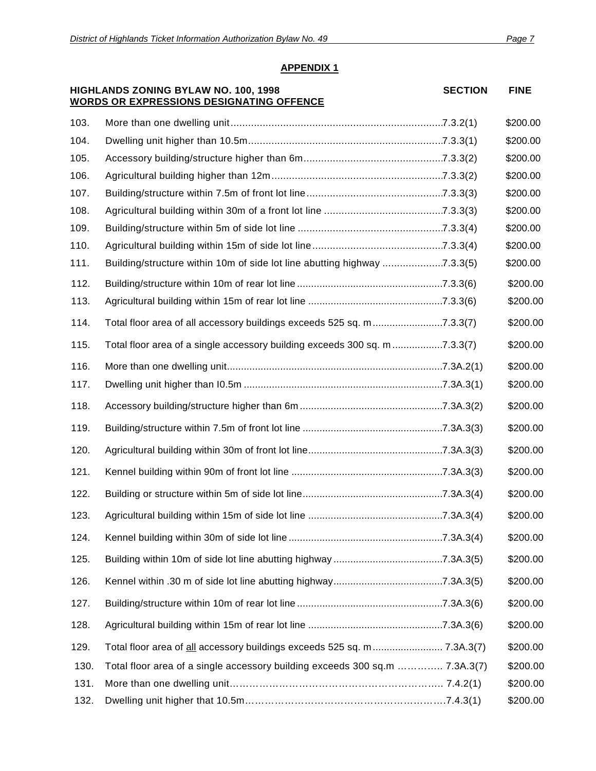# **HIGHLANDS ZONING BYLAW NO. 100, 1998 WORDS OR EXPRESSIONS DESIGNATING OFFENCE SECTION FINE** 130. Total floor area of a single accessory building exceeds 300 sq.m ………….. 7.3A.3(7) \$200.00 131. More than one dwelling unit……………………………………………………….. 7.4.2(1) \$200.00 132. Dwelling unit higher that 10.5m…………………………………………………….7.4.3(1) \$200.00 103. More than one dwelling unit.........................................................................7.3.2(1) \$200.00 104. Dwelling unit higher than 10.5m...................................................................7.3.3(1) \$200.00 105. Accessory building/structure higher than 6m................................................7.3.3(2) \$200.00 106. Agricultural building higher than 12m...........................................................7.3.3(2) \$200.00 107. Building/structure within 7.5m of front lot line...............................................7.3.3(3) \$200.00 108. Agricultural building within 30m of a front lot line .........................................7.3.3(3) \$200.00 109. Building/structure within 5m of side lot line ..................................................7.3.3(4) \$200.00 110. Agricultural building within 15m of side lot line.............................................7.3.3(4) \$200.00 111. Building/structure within 10m of side lot line abutting highway .....................7.3.3(5) \$200.00 112. Building/structure within 10m of rear lot line ....................................................7.3.3(6) \$200.00 113. Agricultural building within 15m of rear lot line ................................................7.3.3(6) \$200.00 114. Total floor area of all accessory buildings exceeds 525 sq. m.........................7.3.3(7) \$200.00 115. Total floor area of a single accessory building exceeds 300 sq. m ..................7.3.3(7) \$200.00 116. More than one dwelling unit.............................................................................7.3A.2(1) \$200.00 117. Dwelling unit higher than I0.5m .......................................................................7.3A.3(1) \$200.00 118. Accessory building/structure higher than 6m ...................................................7.3A.3(2) \$200.00 119. Building/structure within 7.5m of front lot line ..................................................7.3A.3(3) \$200.00 120. Agricultural building within 30m of front lot line................................................7.3A.3(3) \$200.00 121. Kennel building within 90m of front lot line ......................................................7.3A.3(3) \$200.00 122. Building or structure within 5m of side lot line..................................................7.3A.3(4) \$200.00 123. Agricultural building within 15m of side lot line ................................................7.3A.3(4) \$200.00 124. Kennel building within 30m of side lot line .......................................................7.3A.3(4) \$200.00 125. Building within 10m of side lot line abutting highway .......................................7.3A.3(5) \$200.00 126. Kennel within .30 m of side lot line abutting highway.......................................7.3A.3(5) \$200.00 127. Building/structure within 10m of rear lot line ....................................................7.3A.3(6) \$200.00 128. Agricultural building within 15m of rear lot line ................................................7.3A.3(6) \$200.00 129. Total floor area of all accessory buildings exceeds 525 sq. m......................... 7.3A.3(7) \$200.00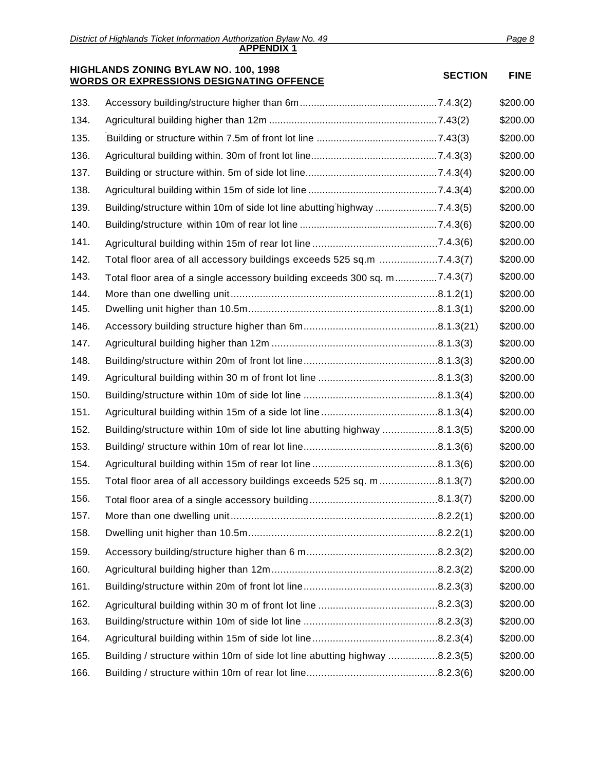|      | HIGHLANDS ZONING BYLAW NO. 100, 1998<br><b>WORDS OR EXPRESSIONS DESIGNATING OFFENCE</b> | <b>SECTION</b> | <b>FINE</b> |
|------|-----------------------------------------------------------------------------------------|----------------|-------------|
| 133. |                                                                                         |                | \$200.00    |
| 134. |                                                                                         |                | \$200.00    |
| 135. |                                                                                         |                | \$200.00    |
| 136. |                                                                                         |                | \$200.00    |
| 137. |                                                                                         |                | \$200.00    |
| 138. |                                                                                         |                | \$200.00    |
| 139. | Building/structure within 10m of side lot line abutting highway 7.4.3(5)                |                | \$200.00    |
| 140. |                                                                                         |                | \$200.00    |
| 141. |                                                                                         |                | \$200.00    |
| 142. | Total floor area of all accessory buildings exceeds 525 sq.m 7.4.3(7)                   |                | \$200.00    |
| 143. | Total floor area of a single accessory building exceeds 300 sq. m7.4.3(7)               |                | \$200.00    |
| 144. |                                                                                         |                | \$200.00    |
| 145. |                                                                                         |                | \$200.00    |
| 146. |                                                                                         |                | \$200.00    |
| 147. |                                                                                         |                | \$200.00    |
| 148. |                                                                                         |                | \$200.00    |
| 149. |                                                                                         |                | \$200.00    |
| 150. |                                                                                         |                | \$200.00    |
| 151. |                                                                                         |                | \$200.00    |
| 152. | Building/structure within 10m of side lot line abutting highway 8.1.3(5)                |                | \$200.00    |
| 153. |                                                                                         |                | \$200.00    |
| 154. |                                                                                         |                | \$200.00    |
| 155. | Total floor area of all accessory buildings exceeds 525 sq. m8.1.3(7)                   |                | \$200.00    |
| 156. |                                                                                         |                | \$200.00    |
| 157. |                                                                                         |                | \$200.00    |
| 158. |                                                                                         |                | \$200.00    |
| 159. |                                                                                         |                | \$200.00    |
| 160. |                                                                                         |                | \$200.00    |
| 161. |                                                                                         |                | \$200.00    |
| 162. |                                                                                         |                | \$200.00    |
| 163. |                                                                                         |                | \$200.00    |
| 164. |                                                                                         |                | \$200.00    |
| 165. | Building / structure within 10m of side lot line abutting highway 8.2.3(5)              |                | \$200.00    |
| 166. |                                                                                         |                | \$200.00    |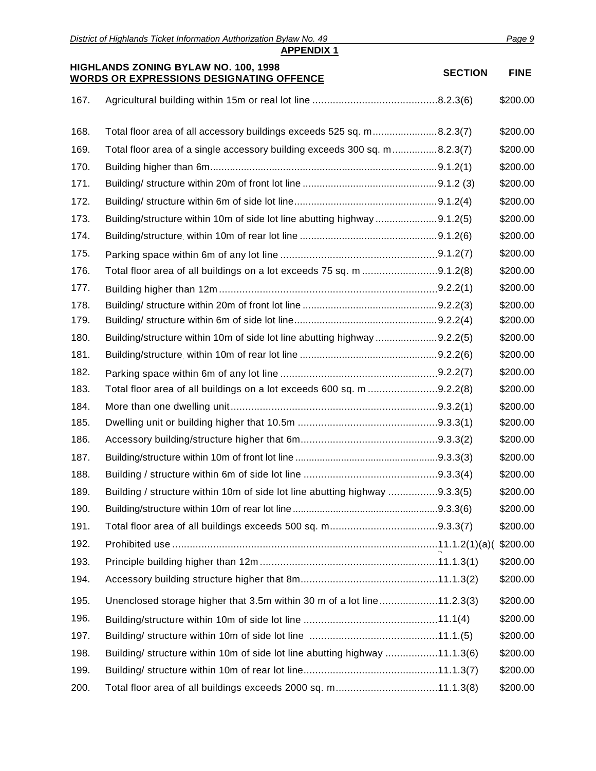|      | District of Highlands Ticket Information Authorization Bylaw No. 49        |                | Page 9      |
|------|----------------------------------------------------------------------------|----------------|-------------|
|      | <b>APPENDIX 1</b><br>HIGHLANDS ZONING BYLAW NO. 100, 1998                  |                |             |
|      | <b>WORDS OR EXPRESSIONS DESIGNATING OFFENCE</b>                            | <b>SECTION</b> | <b>FINE</b> |
| 167. |                                                                            |                | \$200.00    |
| 168. | Total floor area of all accessory buildings exceeds 525 sq. m8.2.3(7)      |                | \$200.00    |
| 169. | Total floor area of a single accessory building exceeds 300 sq. m8.2.3(7)  |                | \$200.00    |
| 170. |                                                                            |                | \$200.00    |
| 171. |                                                                            |                | \$200.00    |
| 172. |                                                                            |                | \$200.00    |
| 173. | Building/structure within 10m of side lot line abutting highway 9.1.2(5)   |                | \$200.00    |
| 174. |                                                                            |                | \$200.00    |
| 175. |                                                                            |                | \$200.00    |
| 176. | Total floor area of all buildings on a lot exceeds 75 sq. m 9.1.2(8)       |                | \$200.00    |
| 177. |                                                                            |                | \$200.00    |
| 178. |                                                                            |                | \$200.00    |
| 179. |                                                                            |                | \$200.00    |
| 180. | Building/structure within 10m of side lot line abutting highway 9.2.2(5)   |                | \$200.00    |
| 181. |                                                                            |                | \$200.00    |
| 182. |                                                                            |                | \$200.00    |
| 183. | Total floor area of all buildings on a lot exceeds 600 sq. m 9.2.2(8)      |                | \$200.00    |
| 184. |                                                                            |                | \$200.00    |
| 185. |                                                                            |                | \$200.00    |
| 186. |                                                                            |                | \$200.00    |
| 187. |                                                                            |                | \$200.00    |
| 188. |                                                                            |                | \$200.00    |
| 189. | Building / structure within 10m of side lot line abutting highway 9.3.3(5) |                | \$200.00    |
| 190. |                                                                            |                | \$200.00    |
| 191. |                                                                            |                | \$200.00    |
| 192. |                                                                            |                | \$200.00    |
| 193. |                                                                            |                | \$200.00    |
| 194. |                                                                            |                | \$200.00    |
| 195. | Unenclosed storage higher that 3.5m within 30 m of a lot line11.2.3(3)     |                | \$200.00    |
| 196. |                                                                            |                | \$200.00    |
| 197. |                                                                            |                | \$200.00    |
| 198. | Building/ structure within 10m of side lot line abutting highway 11.1.3(6) |                | \$200.00    |
| 199. |                                                                            |                | \$200.00    |
| 200. | Total floor area of all buildings exceeds 2000 sq. m11.1.3(8)              |                | \$200.00    |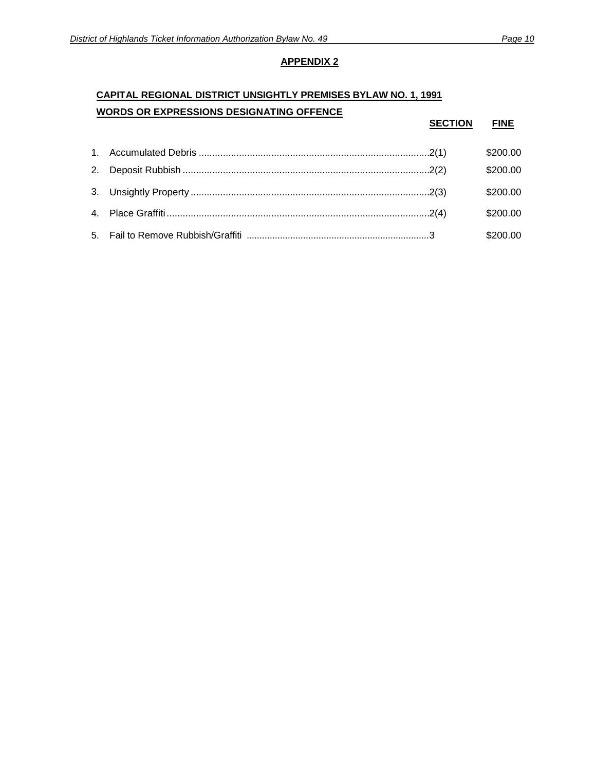# **CAPITAL REGIONAL DISTRICT UNSIGHTLY PREMISES BYLAW NO. 1, 1991 WORDS OR EXPRESSIONS DESIGNATING OFFENCE**

|  | <b>SECTION</b> | <b>FINE</b> |
|--|----------------|-------------|
|  |                | \$200.00    |
|  |                | \$200.00    |
|  |                | \$200.00    |
|  |                | \$200.00    |
|  |                | \$200.00    |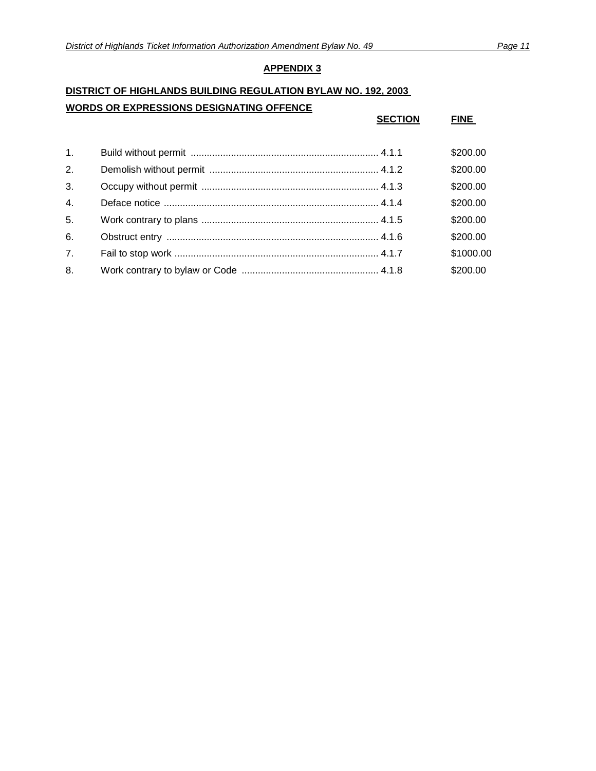# **DISTRICT OF HIGHLANDS BUILDING REGULATION BYLAW NO. 192, 2003 WORDS OR EXPRESSIONS DESIGNATING OFFENCE**

|    | <b>SECTION</b> | <b>FINE</b> |
|----|----------------|-------------|
| 1. |                | \$200.00    |
| 2. |                | \$200.00    |
| 3. |                | \$200.00    |
| 4. |                | \$200.00    |
| 5. |                | \$200.00    |
| 6. |                | \$200.00    |
| 7. |                | \$1000.00   |
| 8. |                | \$200.00    |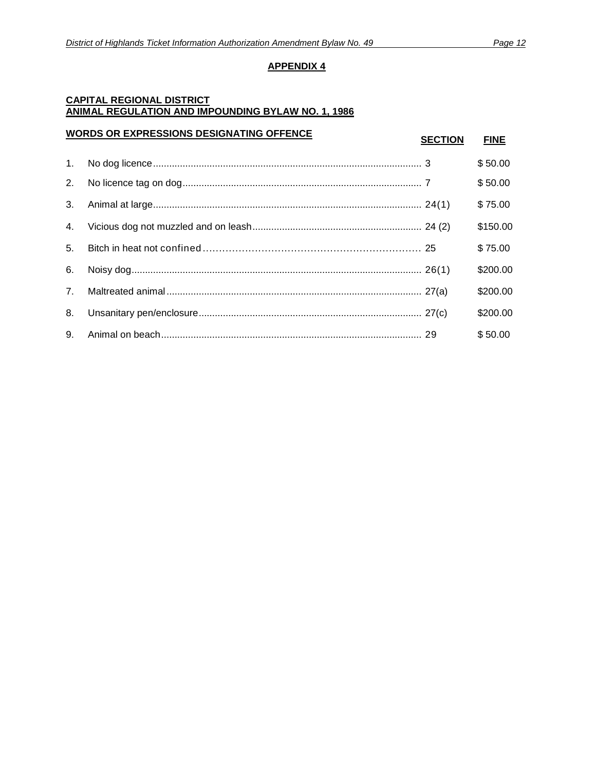### **CAPITAL REGIONAL DISTRICT ANIMAL REGULATION AND IMPOUNDING BYLAW NO. 1, 1986**

# **WORDS OR EXPRESSIONS DESIGNATING OFFENCE SECTION FINE**

1. No dog licence.................................................................................................... 3 \$ 50.00 2. No licence tag on dog......................................................................................... 7 \$ 50.00 3. Animal at large.................................................................................................... 24(1) \$ 75.00 4. Vicious dog not muzzled and on leash............................................................... 24 (2) \$150.00 5. Bitch in heat not confined ................................................................... 25 \$ 75.00 6. Noisy dog............................................................................................................ 26(1) \$200.00 7. Maltreated animal............................................................................................... 27(a) \$200.00 8. Unsanitary pen/enclosure................................................................................... 27(c) \$200.00 9. Animal on beach................................................................................................. 29 \$ 50.00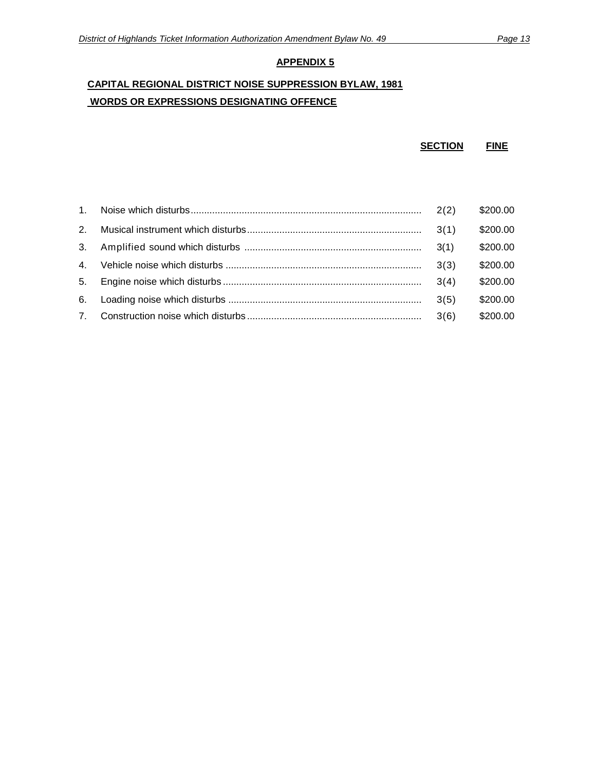# **CAPITAL REGIONAL DISTRICT NOISE SUPPRESSION BYLAW, 1981 WORDS OR EXPRESSIONS DESIGNATING OFFENCE**

```
SECTION FINE
```

| 1.             |      | \$200.00 |
|----------------|------|----------|
| 2 <sup>1</sup> |      | \$200.00 |
| 3.             | 3(1) | \$200.00 |
| $4_{\cdot}$    | 3(3) | \$200.00 |
| 5.             | 3(4) | \$200.00 |
| 6.             | 3(5) | \$200.00 |
| $7^{\circ}$    | 3(6) | \$200.00 |
|                |      |          |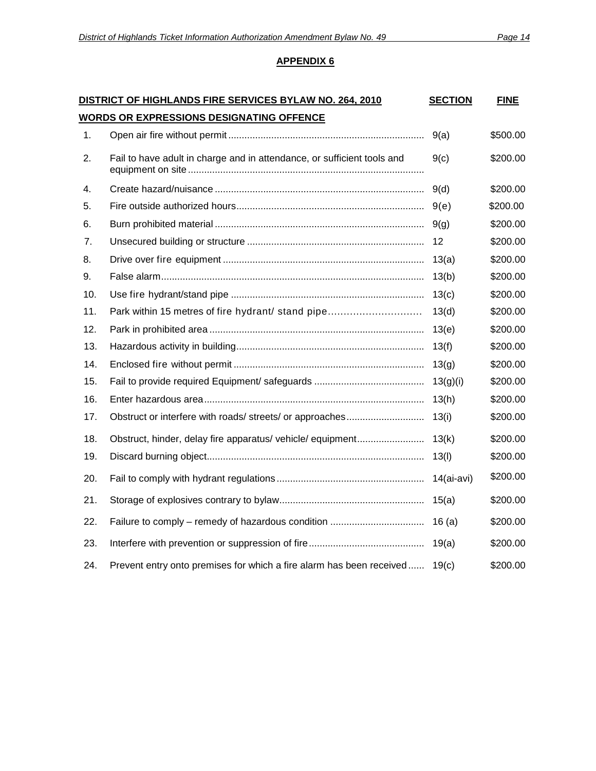|                | DISTRICT OF HIGHLANDS FIRE SERVICES BYLAW NO. 264, 2010                 | <b>SECTION</b> | <b>FINE</b> |  |
|----------------|-------------------------------------------------------------------------|----------------|-------------|--|
|                | <b>WORDS OR EXPRESSIONS DESIGNATING OFFENCE</b>                         |                |             |  |
| 1.             |                                                                         | 9(a)           | \$500.00    |  |
| 2.             | Fail to have adult in charge and in attendance, or sufficient tools and | 9(c)           | \$200.00    |  |
| 4.             |                                                                         | 9(d)           | \$200.00    |  |
| 5.             |                                                                         | 9(e)           | \$200.00    |  |
| 6.             |                                                                         | 9(g)           | \$200.00    |  |
| 7 <sub>1</sub> |                                                                         | 12             | \$200.00    |  |
| 8.             |                                                                         | 13(a)          | \$200.00    |  |
| 9.             |                                                                         | 13(b)          | \$200.00    |  |
| 10.            |                                                                         | 13(c)          | \$200.00    |  |
| 11.            | Park within 15 metres of fire hydrant/ stand pipe                       | 13(d)          | \$200.00    |  |
| 12.            |                                                                         | 13(e)          | \$200.00    |  |
| 13.            |                                                                         | 13(f)          | \$200.00    |  |
| 14.            |                                                                         | 13(g)          | \$200.00    |  |
| 15.            |                                                                         | 13(g)(i)       | \$200.00    |  |
| 16.            |                                                                         | 13(h)          | \$200.00    |  |
| 17.            |                                                                         | 13(i)          | \$200.00    |  |
| 18.            | Obstruct, hinder, delay fire apparatus/ vehicle/ equipment              | 13(k)          | \$200.00    |  |
| 19.            |                                                                         | 13(l)          | \$200.00    |  |
| 20.            |                                                                         | $14$ (ai-avi)  | \$200.00    |  |
| 21.            |                                                                         | 15(a)          | \$200.00    |  |
| 22.            |                                                                         | 16(a)          | \$200.00    |  |
| 23.            |                                                                         | 19(a)          | \$200.00    |  |
| 24.            | Prevent entry onto premises for which a fire alarm has been received    | 19(c)          | \$200.00    |  |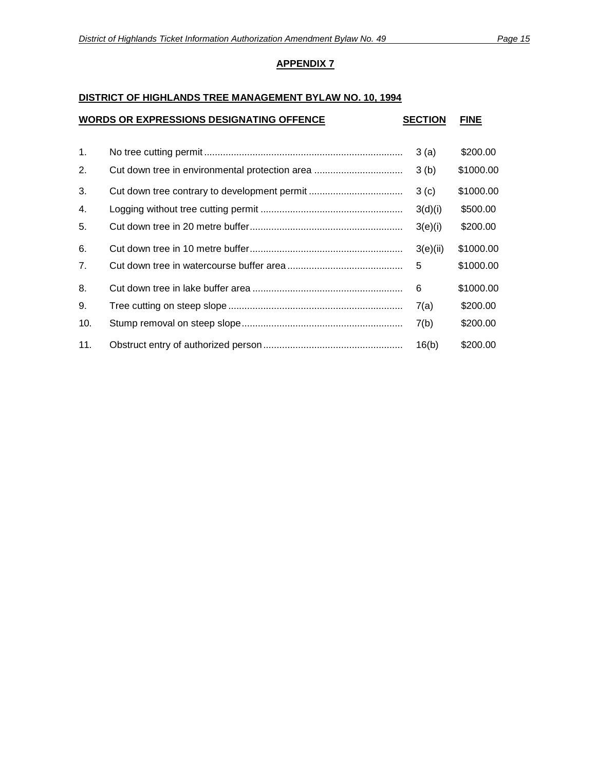### **DISTRICT OF HIGHLANDS TREE MANAGEMENT BYLAW NO. 10, 1994**

| <b>WORDS OR EXPRESSIONS DESIGNATING OFFENCE</b> |
|-------------------------------------------------|
|-------------------------------------------------|

**WORDS OR EXPRESSIONS DESIGNATING OFFENCE SECTION FINE**

| $\mathbf{1}$ . | 3(a)     | \$200.00  |
|----------------|----------|-----------|
| 2.             | 3(b)     | \$1000.00 |
| 3.             | 3(c)     | \$1000.00 |
| 4.             | 3(d)(i)  | \$500.00  |
| 5.             | 3(e)(i)  | \$200.00  |
| 6.             | 3(e)(ii) | \$1000.00 |
| 7 <sub>1</sub> | 5        | \$1000.00 |
| 8.             | 6        | \$1000.00 |
| 9.             | 7(a)     | \$200.00  |
| 10.            | 7(b)     | \$200.00  |
| 11.            | 16(b)    | \$200.00  |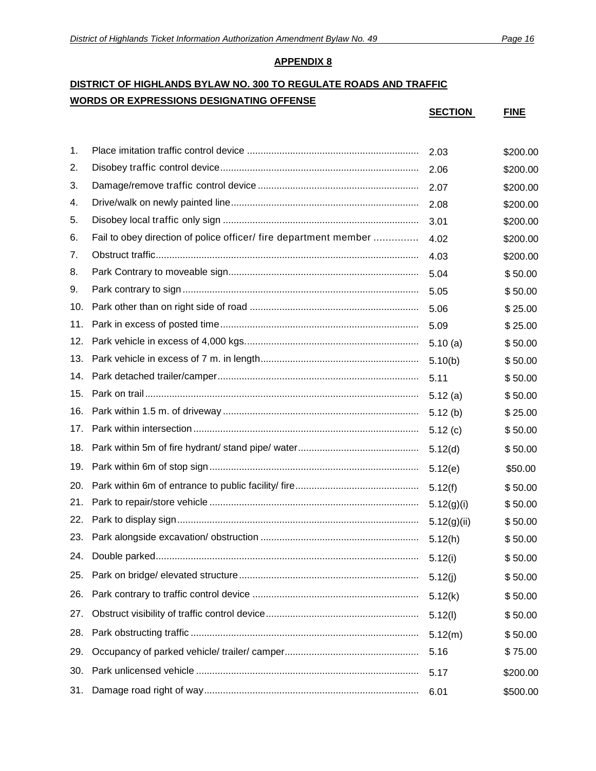# **DISTRICT OF HIGHLANDS BYLAW NO. 300 TO REGULATE ROADS AND TRAFFIC WORDS OR EXPRESSIONS DESIGNATING OFFENSE**

|     |                                                                  | <b>SECTION</b> | <b>FINE</b> |
|-----|------------------------------------------------------------------|----------------|-------------|
|     |                                                                  |                |             |
| 1.  |                                                                  | 2.03           | \$200.00    |
| 2.  |                                                                  | 2.06           | \$200.00    |
| 3.  |                                                                  | 2.07           | \$200.00    |
| 4.  |                                                                  | 2.08           | \$200.00    |
| 5.  |                                                                  | 3.01           | \$200.00    |
| 6.  | Fail to obey direction of police officer/ fire department member | 4.02           | \$200.00    |
| 7.  |                                                                  | 4.03           | \$200.00    |
| 8.  |                                                                  | 5.04           | \$50.00     |
| 9.  |                                                                  | 5.05           | \$50.00     |
| 10. |                                                                  | 5.06           | \$25.00     |
| 11. |                                                                  | 5.09           | \$25.00     |
| 12. |                                                                  | 5.10(a)        | \$50.00     |
| 13. |                                                                  | 5.10(b)        | \$50.00     |
| 14. |                                                                  | 5.11           | \$50.00     |
| 15. |                                                                  | 5.12(a)        | \$50.00     |
| 16. |                                                                  | 5.12(b)        | \$25.00     |
| 17. |                                                                  | 5.12(c)        | \$50.00     |
| 18. |                                                                  | 5.12(d)        | \$50.00     |
| 19. |                                                                  | 5.12(e)        | \$50.00     |
| 20. |                                                                  | 5.12(f)        | \$50.00     |
| 21. |                                                                  | 5.12(g)(i)     | \$50.00     |
| 22. |                                                                  | 5.12(g)(ii)    | \$50.00     |
| 23. |                                                                  | 5.12(h)        | \$50.00     |
| 24. |                                                                  | 5.12(i)        | \$50.00     |
| 25. |                                                                  | 5.12(j)        | \$50.00     |
| 26. |                                                                  | 5.12(k)        | \$50.00     |
| 27. |                                                                  | 5.12(l)        | \$50.00     |
| 28. |                                                                  | 5.12(m)        | \$50.00     |
| 29. |                                                                  | 5.16           | \$75.00     |
| 30. |                                                                  | 5.17           | \$200.00    |
| 31. |                                                                  | 6.01           | \$500.00    |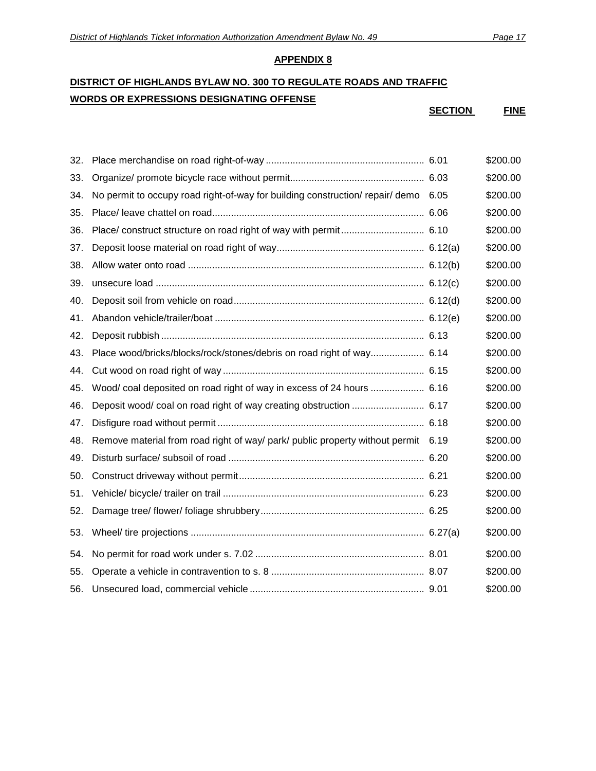# **DISTRICT OF HIGHLANDS BYLAW NO. 300 TO REGULATE ROADS AND TRAFFIC WORDS OR EXPRESSIONS DESIGNATING OFFENSE**

**SECTION FINE**

| 32. |                                                                                    | \$200.00 |
|-----|------------------------------------------------------------------------------------|----------|
| 33. |                                                                                    | \$200.00 |
| 34. | No permit to occupy road right-of-way for building construction/ repair/ demo 6.05 | \$200.00 |
| 35. |                                                                                    | \$200.00 |
| 36. |                                                                                    | \$200.00 |
| 37. |                                                                                    | \$200.00 |
| 38. |                                                                                    | \$200.00 |
| 39. |                                                                                    | \$200.00 |
| 40. |                                                                                    | \$200.00 |
| 41. |                                                                                    | \$200.00 |
| 42. |                                                                                    | \$200.00 |
| 43. | Place wood/bricks/blocks/rock/stones/debris on road right of way 6.14              | \$200.00 |
| 44. |                                                                                    | \$200.00 |
| 45. | Wood/ coal deposited on road right of way in excess of 24 hours  6.16              | \$200.00 |
| 46. | Deposit wood/ coal on road right of way creating obstruction  6.17                 | \$200.00 |
| 47. |                                                                                    | \$200.00 |
| 48. | Remove material from road right of way/ park/ public property without permit 6.19  | \$200.00 |
| 49. |                                                                                    | \$200.00 |
| 50. |                                                                                    | \$200.00 |
| 51. |                                                                                    | \$200.00 |
| 52. |                                                                                    | \$200.00 |
| 53. |                                                                                    | \$200.00 |
| 54. |                                                                                    | \$200.00 |
| 55. |                                                                                    | \$200.00 |
| 56. |                                                                                    | \$200.00 |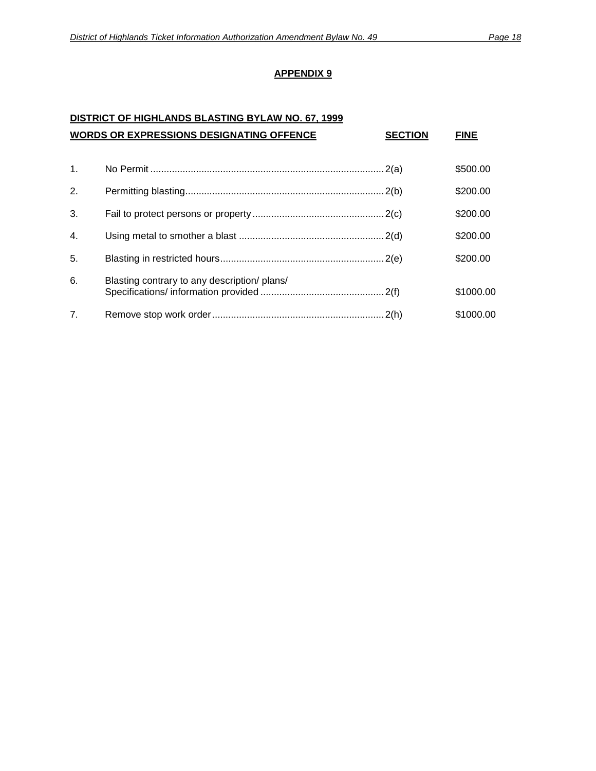# **DISTRICT OF HIGHLANDS BLASTING BYLAW NO. 67, 1999 WORDS OR EXPRESSIONS DESIGNATING OFFENCE SECTION FINE**

| $\mathbf{1}$ . |                                              | \$500.00  |
|----------------|----------------------------------------------|-----------|
| 2.             |                                              | \$200.00  |
| 3.             |                                              | \$200.00  |
| 4.             |                                              | \$200.00  |
| 5.             |                                              | \$200.00  |
| 6.             | Blasting contrary to any description/ plans/ | \$1000.00 |
| 7 <sub>1</sub> |                                              | \$1000.00 |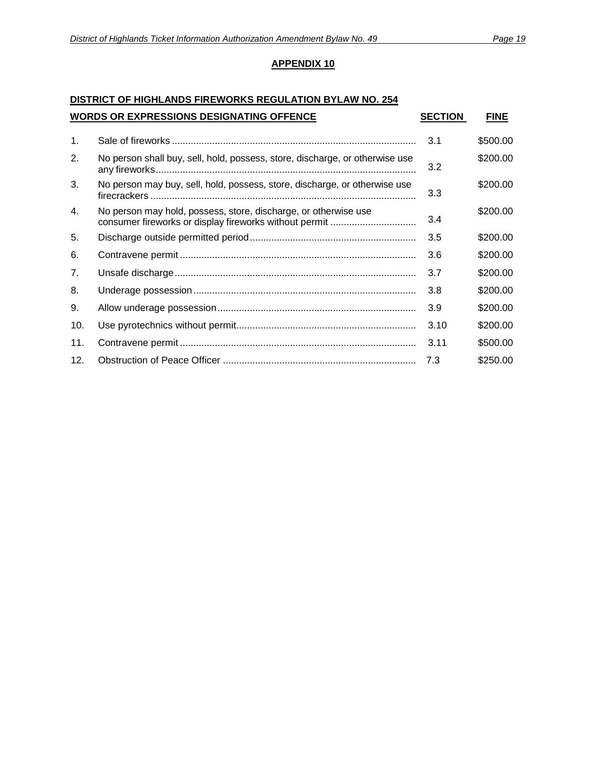### **DISTRICT OF HIGHLANDS FIREWORKS REGULATION BYLAW NO. 254 WORDS OR EXPRESSIONS DESIGNATING OFFENCE SECTION FINE**

|                | WORDS OR EXPRESSIONS DESIGNATING OFFENCE                                     | <b>SECTION</b> | FINE     |
|----------------|------------------------------------------------------------------------------|----------------|----------|
| $\mathbf{1}$ . |                                                                              | 3.1            | \$500.00 |
| 2.             | No person shall buy, sell, hold, possess, store, discharge, or otherwise use | 3.2            | \$200.00 |
| 3.             | No person may buy, sell, hold, possess, store, discharge, or otherwise use   | 3.3            | \$200.00 |
| 4.             | No person may hold, possess, store, discharge, or otherwise use              | 3.4            | \$200.00 |
| 5.             |                                                                              | 3.5            | \$200.00 |
| 6.             |                                                                              | 3.6            | \$200.00 |
| 7.             |                                                                              | 3.7            | \$200.00 |
| 8.             |                                                                              | 3.8            | \$200.00 |
| 9.             |                                                                              | 3.9            | \$200.00 |
| 10.            |                                                                              | 3.10           | \$200.00 |
| 11.            |                                                                              | 3.11           | \$500.00 |
| 12.            |                                                                              | 7.3            | \$250.00 |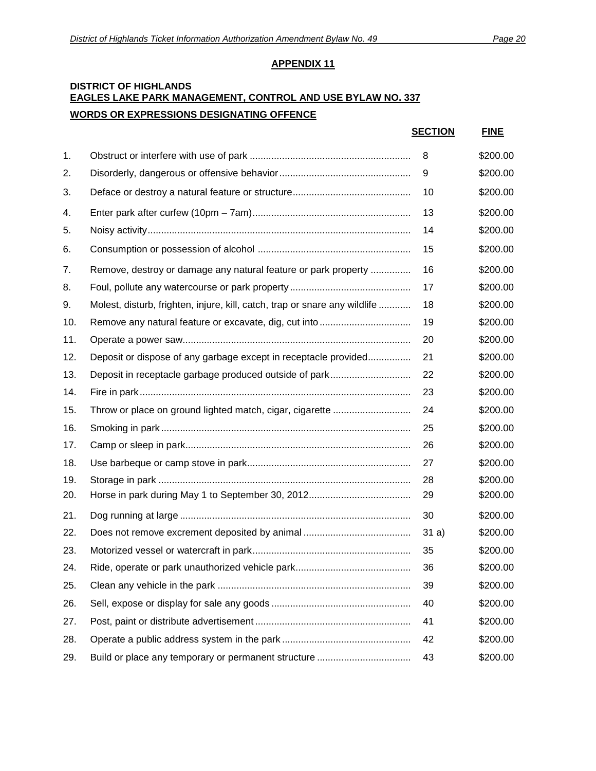### **DISTRICT OF HIGHLANDS EAGLES LAKE PARK MANAGEMENT, CONTROL AND USE BYLAW NO. 337 WORDS OR EXPRESSIONS DESIGNATING OFFENCE**

|     |                                                                            | <b>SECTION</b> | <b>FINE</b> |
|-----|----------------------------------------------------------------------------|----------------|-------------|
| 1.  |                                                                            | 8              | \$200.00    |
| 2.  |                                                                            | 9              | \$200.00    |
| 3.  |                                                                            | 10             | \$200.00    |
| 4.  |                                                                            | 13             | \$200.00    |
| 5.  |                                                                            | 14             | \$200.00    |
| 6.  |                                                                            | 15             | \$200.00    |
| 7.  | Remove, destroy or damage any natural feature or park property             | 16             | \$200.00    |
| 8.  |                                                                            | 17             | \$200.00    |
| 9.  | Molest, disturb, frighten, injure, kill, catch, trap or snare any wildlife | 18             | \$200.00    |
| 10. |                                                                            | 19             | \$200.00    |
| 11. |                                                                            | 20             | \$200.00    |
| 12. | Deposit or dispose of any garbage except in receptacle provided            | 21             | \$200.00    |
| 13. |                                                                            | 22             | \$200.00    |
| 14. |                                                                            | 23             | \$200.00    |
| 15. |                                                                            | 24             | \$200.00    |
| 16. |                                                                            | 25             | \$200.00    |
| 17. |                                                                            | 26             | \$200.00    |
| 18. |                                                                            | 27             | \$200.00    |
| 19. |                                                                            | 28             | \$200.00    |
| 20. |                                                                            | 29             | \$200.00    |
| 21. |                                                                            | 30             | \$200.00    |
| 22. |                                                                            | 31a)           | \$200.00    |
| 23. |                                                                            | 35             | \$200.00    |
| 24. |                                                                            | 36             | \$200.00    |
| 25. |                                                                            | 39             | \$200.00    |
| 26. |                                                                            | 40             | \$200.00    |
| 27. |                                                                            | 41             | \$200.00    |
| 28. |                                                                            | 42             | \$200.00    |
| 29. | Build or place any temporary or permanent structure                        | 43             | \$200.00    |